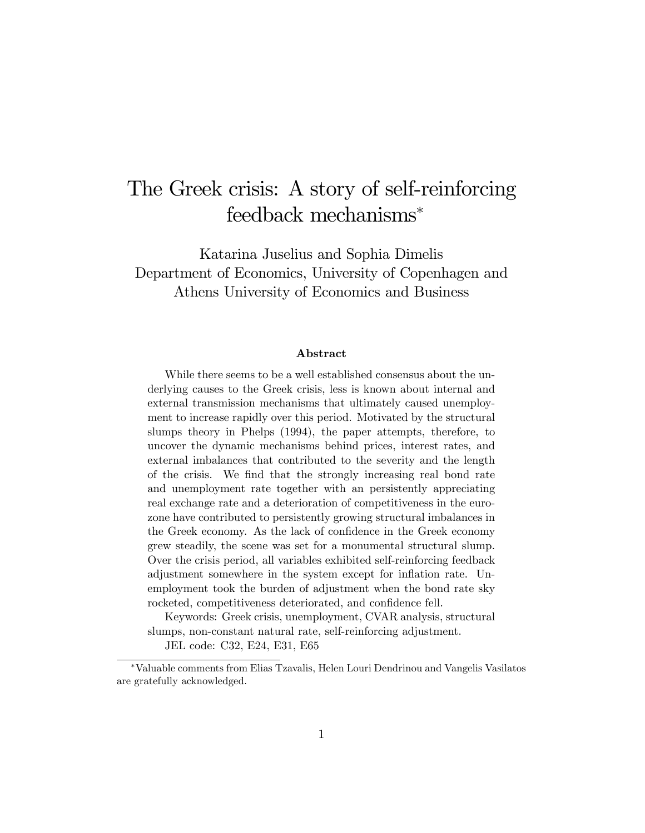# The Greek crisis: A story of self-reinforcing feedback mechanisms

Katarina Juselius and Sophia Dimelis Department of Economics, University of Copenhagen and Athens University of Economics and Business

#### Abstract

While there seems to be a well established consensus about the underlying causes to the Greek crisis, less is known about internal and external transmission mechanisms that ultimately caused unemployment to increase rapidly over this period. Motivated by the structural slumps theory in Phelps (1994), the paper attempts, therefore, to uncover the dynamic mechanisms behind prices, interest rates, and external imbalances that contributed to the severity and the length of the crisis. We Önd that the strongly increasing real bond rate and unemployment rate together with an persistently appreciating real exchange rate and a deterioration of competitiveness in the eurozone have contributed to persistently growing structural imbalances in the Greek economy. As the lack of confidence in the Greek economy grew steadily, the scene was set for a monumental structural slump. Over the crisis period, all variables exhibited self-reinforcing feedback adjustment somewhere in the system except for ináation rate. Unemployment took the burden of adjustment when the bond rate sky rocketed, competitiveness deteriorated, and confidence fell.

Keywords: Greek crisis, unemployment, CVAR analysis, structural slumps, non-constant natural rate, self-reinforcing adjustment.

JEL code: C32, E24, E31, E65

Valuable comments from Elias Tzavalis, Helen Louri Dendrinou and Vangelis Vasilatos are gratefully acknowledged.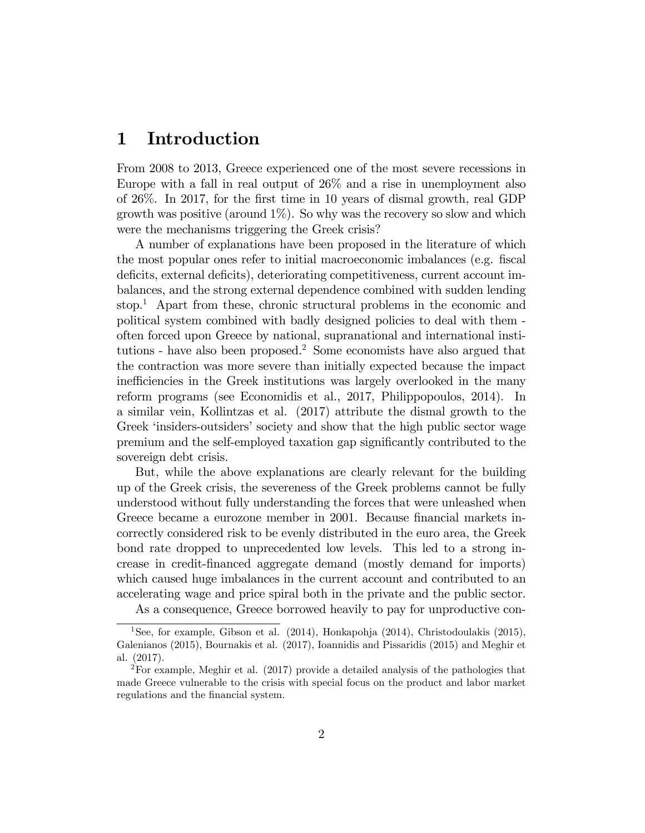#### 1 Introduction

From 2008 to 2013, Greece experienced one of the most severe recessions in Europe with a fall in real output of 26% and a rise in unemployment also of 26%. In 2017, for the Örst time in 10 years of dismal growth, real GDP growth was positive (around  $1\%$ ). So why was the recovery so slow and which were the mechanisms triggering the Greek crisis?

A number of explanations have been proposed in the literature of which the most popular ones refer to initial macroeconomic imbalances (e.g. fiscal deficits, external deficits), deteriorating competitiveness, current account imbalances, and the strong external dependence combined with sudden lending stop.<sup>1</sup> Apart from these, chronic structural problems in the economic and political system combined with badly designed policies to deal with them often forced upon Greece by national, supranational and international institutions - have also been proposed.<sup>2</sup> Some economists have also argued that the contraction was more severe than initially expected because the impact inefficiencies in the Greek institutions was largely overlooked in the many reform programs (see Economidis et al., 2017, Philippopoulos, 2014). In a similar vein, Kollintzas et al. (2017) attribute the dismal growth to the Greek 'insiders-outsiders' society and show that the high public sector wage premium and the self-employed taxation gap signiÖcantly contributed to the sovereign debt crisis.

But, while the above explanations are clearly relevant for the building up of the Greek crisis, the severeness of the Greek problems cannot be fully understood without fully understanding the forces that were unleashed when Greece became a eurozone member in 2001. Because financial markets incorrectly considered risk to be evenly distributed in the euro area, the Greek bond rate dropped to unprecedented low levels. This led to a strong increase in credit-Önanced aggregate demand (mostly demand for imports) which caused huge imbalances in the current account and contributed to an accelerating wage and price spiral both in the private and the public sector.

As a consequence, Greece borrowed heavily to pay for unproductive con-

<sup>&</sup>lt;sup>1</sup>See, for example, Gibson et al.  $(2014)$ , Honkapohja  $(2014)$ , Christodoulakis  $(2015)$ , Galenianos (2015), Bournakis et al. (2017), Ioannidis and Pissaridis (2015) and Meghir et al. (2017).

<sup>2</sup>For example, Meghir et al. (2017) provide a detailed analysis of the pathologies that made Greece vulnerable to the crisis with special focus on the product and labor market regulations and the financial system.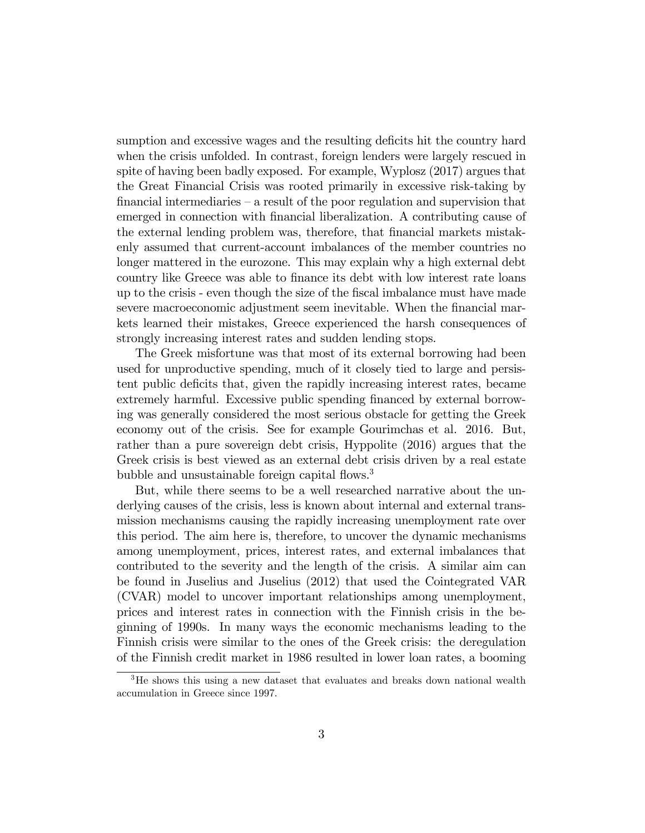sumption and excessive wages and the resulting deficits hit the country hard when the crisis unfolded. In contrast, foreign lenders were largely rescued in spite of having been badly exposed. For example, Wyplosz (2017) argues that the Great Financial Crisis was rooted primarily in excessive risk-taking by financial intermediaries  $-\alpha$  result of the poor regulation and supervision that emerged in connection with financial liberalization. A contributing cause of the external lending problem was, therefore, that financial markets mistakenly assumed that current-account imbalances of the member countries no longer mattered in the eurozone. This may explain why a high external debt country like Greece was able to finance its debt with low interest rate loans up to the crisis - even though the size of the Öscal imbalance must have made severe macroeconomic adjustment seem inevitable. When the financial markets learned their mistakes, Greece experienced the harsh consequences of strongly increasing interest rates and sudden lending stops.

The Greek misfortune was that most of its external borrowing had been used for unproductive spending, much of it closely tied to large and persistent public deficits that, given the rapidly increasing interest rates, became extremely harmful. Excessive public spending financed by external borrowing was generally considered the most serious obstacle for getting the Greek economy out of the crisis. See for example Gourimchas et al. 2016. But, rather than a pure sovereign debt crisis, Hyppolite (2016) argues that the Greek crisis is best viewed as an external debt crisis driven by a real estate bubble and unsustainable foreign capital flows.<sup>3</sup>

But, while there seems to be a well researched narrative about the underlying causes of the crisis, less is known about internal and external transmission mechanisms causing the rapidly increasing unemployment rate over this period. The aim here is, therefore, to uncover the dynamic mechanisms among unemployment, prices, interest rates, and external imbalances that contributed to the severity and the length of the crisis. A similar aim can be found in Juselius and Juselius (2012) that used the Cointegrated VAR (CVAR) model to uncover important relationships among unemployment, prices and interest rates in connection with the Finnish crisis in the beginning of 1990s. In many ways the economic mechanisms leading to the Finnish crisis were similar to the ones of the Greek crisis: the deregulation of the Finnish credit market in 1986 resulted in lower loan rates, a booming

<sup>&</sup>lt;sup>3</sup>He shows this using a new dataset that evaluates and breaks down national wealth accumulation in Greece since 1997.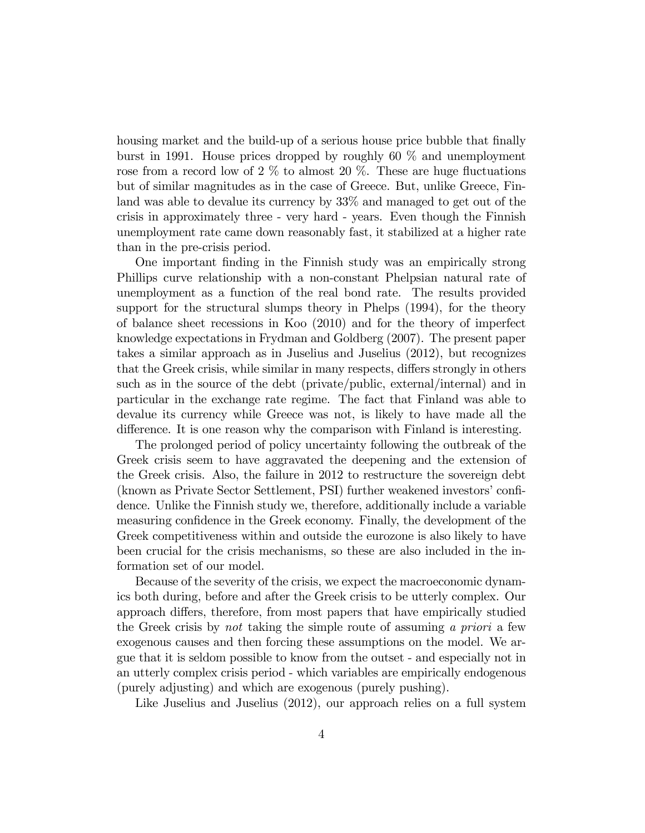housing market and the build-up of a serious house price bubble that finally burst in 1991. House prices dropped by roughly 60 % and unemployment rose from a record low of  $2\%$  to almost  $20\%$ . These are huge fluctuations but of similar magnitudes as in the case of Greece. But, unlike Greece, Finland was able to devalue its currency by 33% and managed to get out of the crisis in approximately three - very hard - years. Even though the Finnish unemployment rate came down reasonably fast, it stabilized at a higher rate than in the pre-crisis period.

One important Önding in the Finnish study was an empirically strong Phillips curve relationship with a non-constant Phelpsian natural rate of unemployment as a function of the real bond rate. The results provided support for the structural slumps theory in Phelps (1994), for the theory of balance sheet recessions in Koo (2010) and for the theory of imperfect knowledge expectations in Frydman and Goldberg (2007). The present paper takes a similar approach as in Juselius and Juselius (2012), but recognizes that the Greek crisis, while similar in many respects, differs strongly in others such as in the source of the debt (private/public, external/internal) and in particular in the exchange rate regime. The fact that Finland was able to devalue its currency while Greece was not, is likely to have made all the difference. It is one reason why the comparison with Finland is interesting.

The prolonged period of policy uncertainty following the outbreak of the Greek crisis seem to have aggravated the deepening and the extension of the Greek crisis. Also, the failure in 2012 to restructure the sovereign debt (known as Private Sector Settlement, PSI) further weakened investorsíconÖdence. Unlike the Finnish study we, therefore, additionally include a variable measuring confidence in the Greek economy. Finally, the development of the Greek competitiveness within and outside the eurozone is also likely to have been crucial for the crisis mechanisms, so these are also included in the information set of our model.

Because of the severity of the crisis, we expect the macroeconomic dynamics both during, before and after the Greek crisis to be utterly complex. Our approach differs, therefore, from most papers that have empirically studied the Greek crisis by not taking the simple route of assuming a priori a few exogenous causes and then forcing these assumptions on the model. We argue that it is seldom possible to know from the outset - and especially not in an utterly complex crisis period - which variables are empirically endogenous (purely adjusting) and which are exogenous (purely pushing).

Like Juselius and Juselius (2012), our approach relies on a full system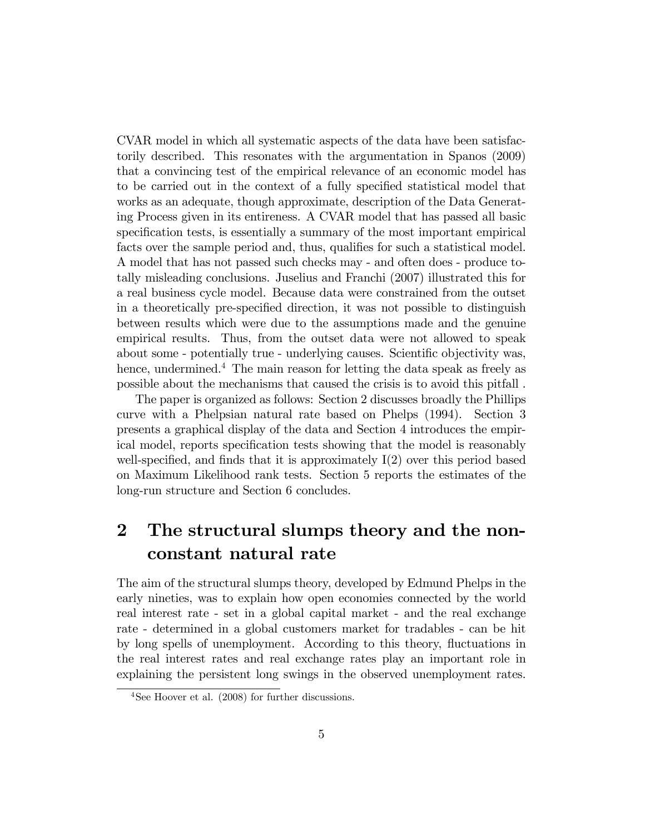CVAR model in which all systematic aspects of the data have been satisfactorily described. This resonates with the argumentation in Spanos (2009) that a convincing test of the empirical relevance of an economic model has to be carried out in the context of a fully specified statistical model that works as an adequate, though approximate, description of the Data Generating Process given in its entireness. A CVAR model that has passed all basic specification tests, is essentially a summary of the most important empirical facts over the sample period and, thus, qualifies for such a statistical model. A model that has not passed such checks may - and often does - produce totally misleading conclusions. Juselius and Franchi (2007) illustrated this for a real business cycle model. Because data were constrained from the outset in a theoretically pre-specified direction, it was not possible to distinguish between results which were due to the assumptions made and the genuine empirical results. Thus, from the outset data were not allowed to speak about some - potentially true - underlying causes. Scientific objectivity was, hence, undermined.<sup>4</sup> The main reason for letting the data speak as freely as possible about the mechanisms that caused the crisis is to avoid this pitfall .

The paper is organized as follows: Section 2 discusses broadly the Phillips curve with a Phelpsian natural rate based on Phelps (1994). Section 3 presents a graphical display of the data and Section 4 introduces the empirical model, reports specification tests showing that the model is reasonably well-specified, and finds that it is approximately  $I(2)$  over this period based on Maximum Likelihood rank tests. Section 5 reports the estimates of the long-run structure and Section 6 concludes.

### 2 The structural slumps theory and the nonconstant natural rate

The aim of the structural slumps theory, developed by Edmund Phelps in the early nineties, was to explain how open economies connected by the world real interest rate - set in a global capital market - and the real exchange rate - determined in a global customers market for tradables - can be hit by long spells of unemployment. According to this theory, fluctuations in the real interest rates and real exchange rates play an important role in explaining the persistent long swings in the observed unemployment rates.

<sup>4</sup>See Hoover et al. (2008) for further discussions.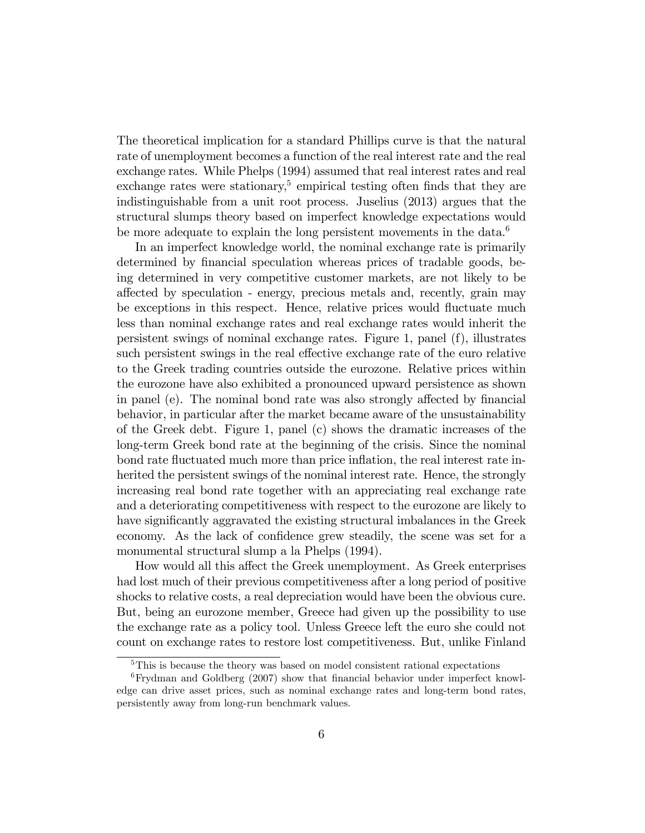The theoretical implication for a standard Phillips curve is that the natural rate of unemployment becomes a function of the real interest rate and the real exchange rates. While Phelps (1994) assumed that real interest rates and real exchange rates were stationary,<sup>5</sup> empirical testing often finds that they are indistinguishable from a unit root process. Juselius (2013) argues that the structural slumps theory based on imperfect knowledge expectations would be more adequate to explain the long persistent movements in the data.<sup>6</sup>

In an imperfect knowledge world, the nominal exchange rate is primarily determined by financial speculation whereas prices of tradable goods, being determined in very competitive customer markets, are not likely to be affected by speculation - energy, precious metals and, recently, grain may be exceptions in this respect. Hence, relative prices would fluctuate much less than nominal exchange rates and real exchange rates would inherit the persistent swings of nominal exchange rates. Figure 1, panel (f), illustrates such persistent swings in the real effective exchange rate of the euro relative to the Greek trading countries outside the eurozone. Relative prices within the eurozone have also exhibited a pronounced upward persistence as shown in panel (e). The nominal bond rate was also strongly affected by financial behavior, in particular after the market became aware of the unsustainability of the Greek debt. Figure 1, panel (c) shows the dramatic increases of the long-term Greek bond rate at the beginning of the crisis. Since the nominal bond rate fluctuated much more than price inflation, the real interest rate inherited the persistent swings of the nominal interest rate. Hence, the strongly increasing real bond rate together with an appreciating real exchange rate and a deteriorating competitiveness with respect to the eurozone are likely to have significantly aggravated the existing structural imbalances in the Greek economy. As the lack of confidence grew steadily, the scene was set for a monumental structural slump a la Phelps (1994).

How would all this affect the Greek unemployment. As Greek enterprises had lost much of their previous competitiveness after a long period of positive shocks to relative costs, a real depreciation would have been the obvious cure. But, being an eurozone member, Greece had given up the possibility to use the exchange rate as a policy tool. Unless Greece left the euro she could not count on exchange rates to restore lost competitiveness. But, unlike Finland

<sup>5</sup>This is because the theory was based on model consistent rational expectations

 $6$ Frydman and Goldberg (2007) show that financial behavior under imperfect knowledge can drive asset prices, such as nominal exchange rates and long-term bond rates, persistently away from long-run benchmark values.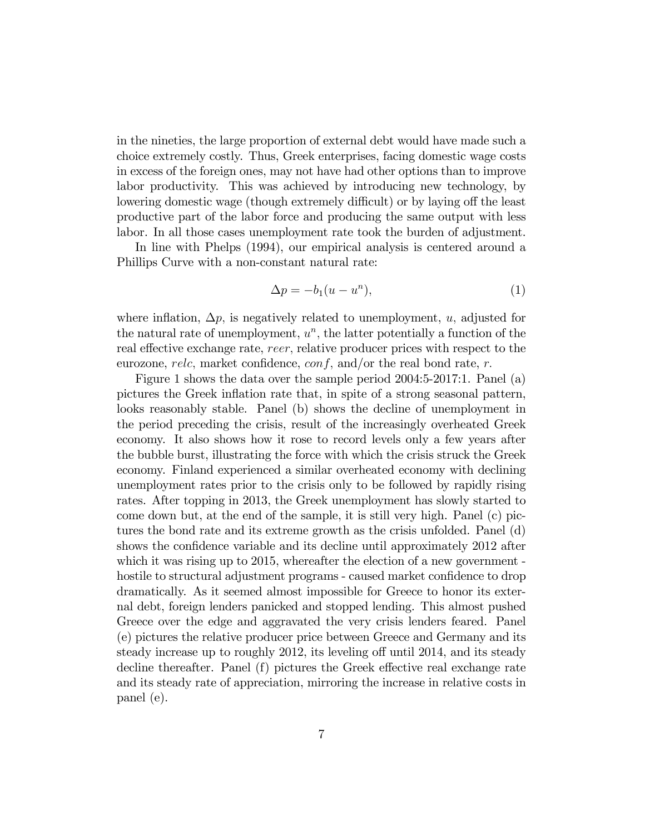in the nineties, the large proportion of external debt would have made such a choice extremely costly. Thus, Greek enterprises, facing domestic wage costs in excess of the foreign ones, may not have had other options than to improve labor productivity. This was achieved by introducing new technology, by lowering domestic wage (though extremely difficult) or by laying off the least productive part of the labor force and producing the same output with less labor. In all those cases unemployment rate took the burden of adjustment.

In line with Phelps (1994), our empirical analysis is centered around a Phillips Curve with a non-constant natural rate:

$$
\Delta p = -b_1(u - u^n),\tag{1}
$$

where inflation,  $\Delta p$ , is negatively related to unemployment, u, adjusted for the natural rate of unemployment,  $u^n$ , the latter potentially a function of the real effective exchange rate, reer, relative producer prices with respect to the eurozone, relc, market confidence,  $conf$ , and/or the real bond rate, r.

Figure 1 shows the data over the sample period 2004:5-2017:1. Panel (a) pictures the Greek inflation rate that, in spite of a strong seasonal pattern, looks reasonably stable. Panel (b) shows the decline of unemployment in the period preceding the crisis, result of the increasingly overheated Greek economy. It also shows how it rose to record levels only a few years after the bubble burst, illustrating the force with which the crisis struck the Greek economy. Finland experienced a similar overheated economy with declining unemployment rates prior to the crisis only to be followed by rapidly rising rates. After topping in 2013, the Greek unemployment has slowly started to come down but, at the end of the sample, it is still very high. Panel (c) pictures the bond rate and its extreme growth as the crisis unfolded. Panel (d) shows the confidence variable and its decline until approximately 2012 after which it was rising up to 2015, whereafter the election of a new government hostile to structural adjustment programs - caused market confidence to drop dramatically. As it seemed almost impossible for Greece to honor its external debt, foreign lenders panicked and stopped lending. This almost pushed Greece over the edge and aggravated the very crisis lenders feared. Panel (e) pictures the relative producer price between Greece and Germany and its steady increase up to roughly 2012, its leveling off until 2014, and its steady decline thereafter. Panel  $(f)$  pictures the Greek effective real exchange rate and its steady rate of appreciation, mirroring the increase in relative costs in panel (e).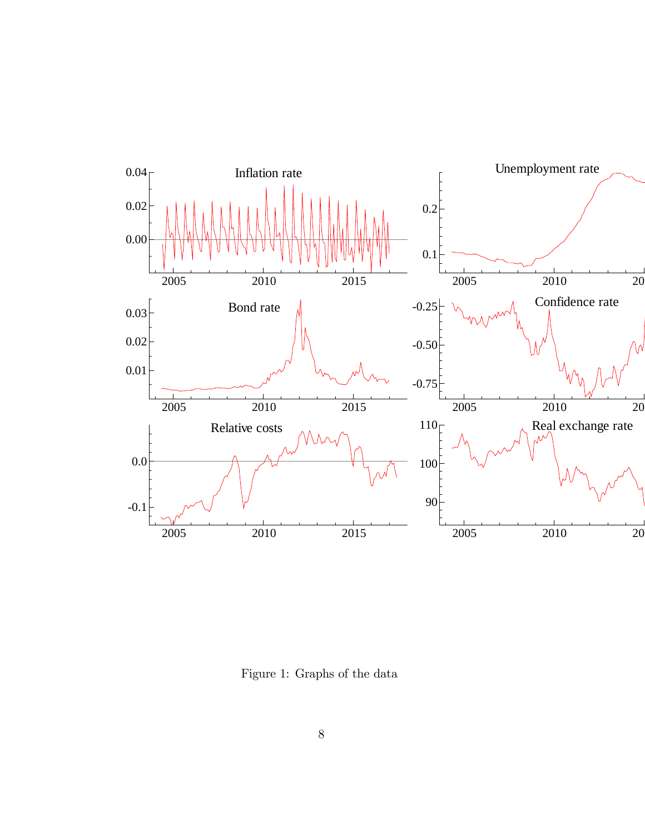

Figure 1: Graphs of the data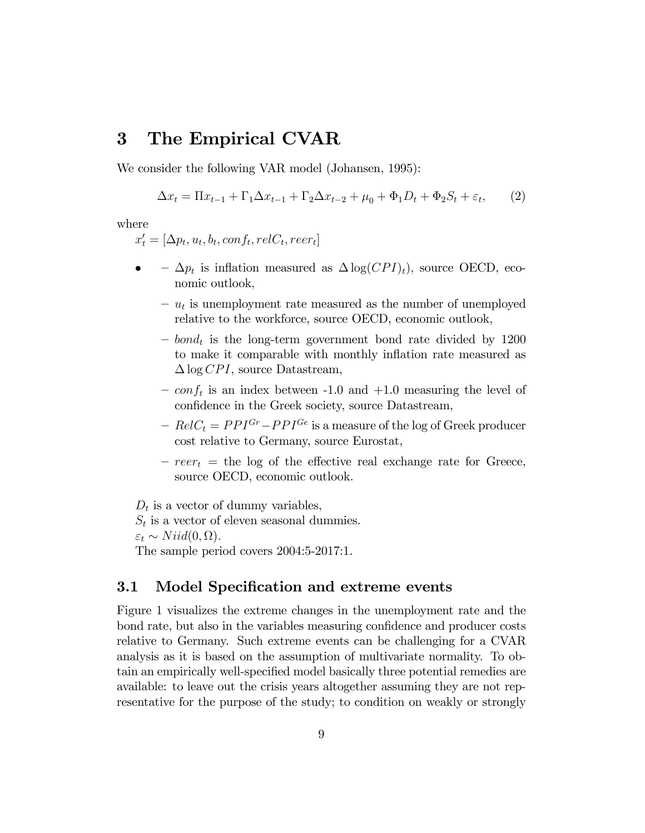#### 3 The Empirical CVAR

We consider the following VAR model (Johansen, 1995):

$$
\Delta x_t = \Pi x_{t-1} + \Gamma_1 \Delta x_{t-1} + \Gamma_2 \Delta x_{t-2} + \mu_0 + \Phi_1 D_t + \Phi_2 S_t + \varepsilon_t, \qquad (2)
$$

where

 $x'_t = [\Delta p_t, u_t, b_t, conf_t, relC_t, reer_t]$ 

- $\bullet$   $\Delta p_t$  is inflation measured as  $\Delta \log(CPI)_t$ , source OECD, economic outlook,
	- $u_t$  is unemployment rate measured as the number of unemployed relative to the workforce, source OECD, economic outlook,
	- $-$  bond<sub>t</sub> is the long-term government bond rate divided by 1200 to make it comparable with monthly inflation rate measured as  $\Delta$ log CPI, source Datastream,
	- $\sim \text{conf}_t$  is an index between -1.0 and +1.0 measuring the level of confidence in the Greek society, source Datastream,
	- $RelC_t = PPI^{Gr}-PPI^{Ge}$  is a measure of the log of Greek producer cost relative to Germany, source Eurostat,
	- $r = reer_t$  = the log of the effective real exchange rate for Greece, source OECD, economic outlook.

 $D_t$  is a vector of dummy variables,

 $S_t$  is a vector of eleven seasonal dummies.  $\varepsilon_t \sim N$ iid $(0, \Omega)$ . The sample period covers 2004:5-2017:1.

#### 3.1 Model Specification and extreme events

Figure 1 visualizes the extreme changes in the unemployment rate and the bond rate, but also in the variables measuring confidence and producer costs relative to Germany. Such extreme events can be challenging for a CVAR analysis as it is based on the assumption of multivariate normality. To obtain an empirically well-specified model basically three potential remedies are available: to leave out the crisis years altogether assuming they are not representative for the purpose of the study; to condition on weakly or strongly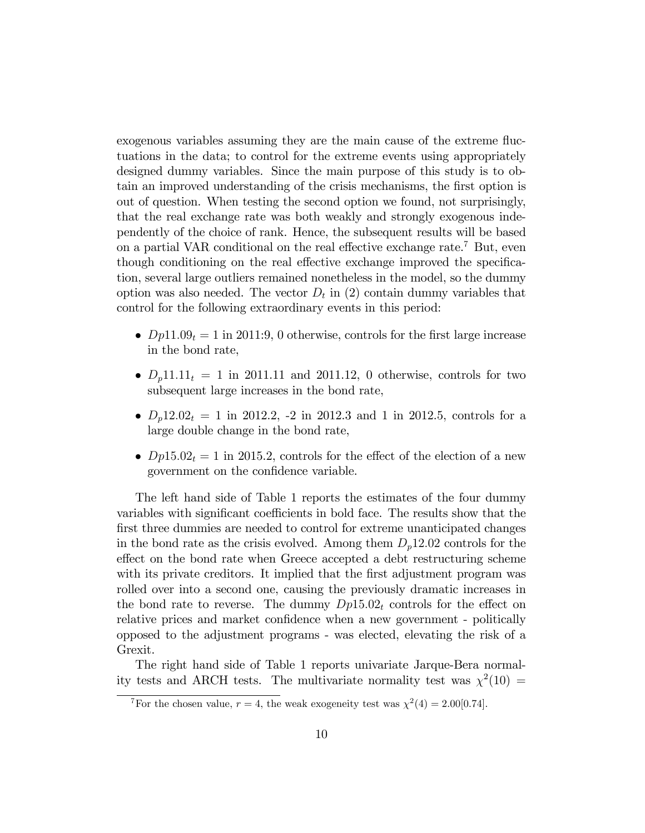exogenous variables assuming they are the main cause of the extreme fluctuations in the data; to control for the extreme events using appropriately designed dummy variables. Since the main purpose of this study is to obtain an improved understanding of the crisis mechanisms, the first option is out of question. When testing the second option we found, not surprisingly, that the real exchange rate was both weakly and strongly exogenous independently of the choice of rank. Hence, the subsequent results will be based on a partial VAR conditional on the real effective exchange rate.<sup>7</sup> But, even though conditioning on the real effective exchange improved the specification, several large outliers remained nonetheless in the model, so the dummy option was also needed. The vector  $D_t$  in (2) contain dummy variables that control for the following extraordinary events in this period:

- $Dp11.09_t = 1$  in 2011:9, 0 otherwise, controls for the first large increase in the bond rate,
- $\bullet$   $D_p11.11_t = 1$  in 2011.11 and 2011.12, 0 otherwise, controls for two subsequent large increases in the bond rate,
- $D_p12.02_t = 1$  in 2012.2, -2 in 2012.3 and 1 in 2012.5, controls for a large double change in the bond rate,
- $Dp15.02_t = 1$  in 2015.2, controls for the effect of the election of a new government on the confidence variable.

The left hand side of Table 1 reports the estimates of the four dummy variables with significant coefficients in bold face. The results show that the first three dummies are needed to control for extreme unanticipated changes in the bond rate as the crisis evolved. Among them  $D_p12.02$  controls for the effect on the bond rate when Greece accepted a debt restructuring scheme with its private creditors. It implied that the first adjustment program was rolled over into a second one, causing the previously dramatic increases in the bond rate to reverse. The dummy  $Dp15.02<sub>t</sub>$  controls for the effect on relative prices and market confidence when a new government - politically opposed to the adjustment programs - was elected, elevating the risk of a Grexit.

The right hand side of Table 1 reports univariate Jarque-Bera normality tests and ARCH tests. The multivariate normality test was  $\chi^2(10)$  =

<sup>&</sup>lt;sup>7</sup>For the chosen value,  $r = 4$ , the weak exogeneity test was  $\chi^2(4) = 2.00[0.74]$ .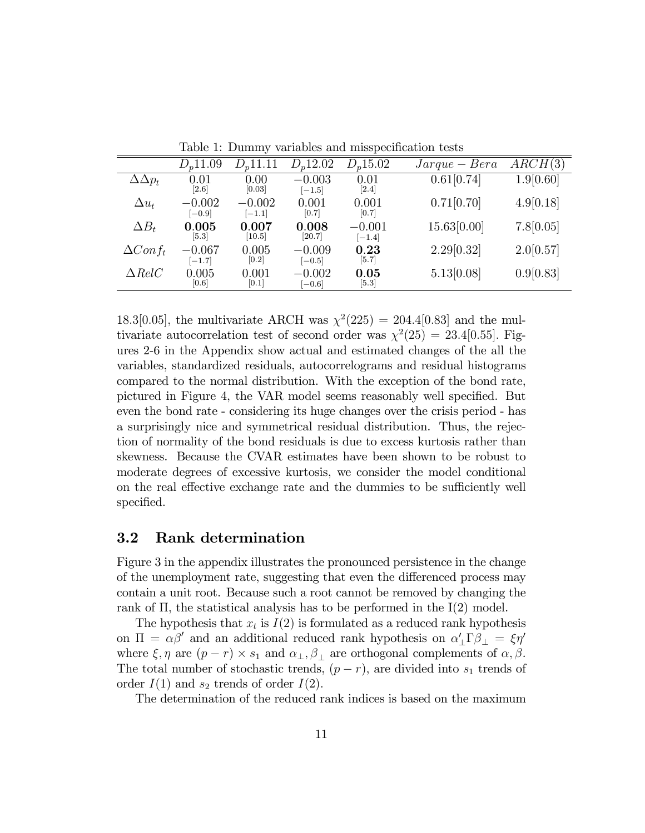|                 |                      | $\cdot$              |                      |                      |                                               |           |
|-----------------|----------------------|----------------------|----------------------|----------------------|-----------------------------------------------|-----------|
|                 | $D_n$ 11.09          | $D_n$ 11.11          | $D_n$ 12.02          | $D_n 15.02$          | $\operatorname{Jarque} - \operatorname{Bera}$ | ARCH(3)   |
| $\Delta p_t$    | 0.01<br>$[2.6]$      | 0.00<br>[0.03]       | $-0.003$<br>$[-1.5]$ | 0.01<br>[2.4]        | 0.61[0.74]                                    | 1.9[0.60] |
| $\Delta u_t$    | $-0.002$<br>$[-0.9]$ | $-0.002$<br>$[-1.1]$ | 0.001<br>[0.7]       | 0.001<br>[0.7]       | 0.71[0.70]                                    | 4.9[0.18] |
| $\Delta B_t$    | 0.005<br>[5.3]       | 0.007<br>[10.5]      | 0.008<br>[20.7]      | $-0.001$<br>$[-1.4]$ | 15.63[0.00]                                   | 7.8[0.05] |
| $\Delta Conf_t$ | $-0.067$<br>$[-1.7]$ | 0.005<br>[0.2]       | $-0.009$<br>$[-0.5]$ | 0.23<br>[5.7]        | 2.29[0.32]                                    | 2.0[0.57] |
| $\Delta RelC$   | 0.005<br>[0.6]       | 0.001<br>[0.1]       | $-0.002$<br>$[-0.6]$ | 0.05<br>[5.3]        | 5.13[0.08]                                    | 0.9[0.83] |

Table 1: Dummy variables and misspecification tests

18.3[0.05], the multivariate ARCH was  $\chi^2(225) = 204.4[0.83]$  and the multivariate autocorrelation test of second order was  $\chi^2(25) = 23.4[0.55]$ . Figures 2-6 in the Appendix show actual and estimated changes of the all the variables, standardized residuals, autocorrelograms and residual histograms compared to the normal distribution. With the exception of the bond rate, pictured in Figure 4, the VAR model seems reasonably well specified. But even the bond rate - considering its huge changes over the crisis period - has a surprisingly nice and symmetrical residual distribution. Thus, the rejection of normality of the bond residuals is due to excess kurtosis rather than skewness. Because the CVAR estimates have been shown to be robust to moderate degrees of excessive kurtosis, we consider the model conditional on the real effective exchange rate and the dummies to be sufficiently well specified.

#### 3.2 Rank determination

Figure 3 in the appendix illustrates the pronounced persistence in the change of the unemployment rate, suggesting that even the differenced process may contain a unit root. Because such a root cannot be removed by changing the rank of  $\Pi$ , the statistical analysis has to be performed in the  $I(2)$  model.

The hypothesis that  $x_t$  is  $I(2)$  is formulated as a reduced rank hypothesis on  $\Pi = \alpha \beta'$  and an additional reduced rank hypothesis on  $\alpha'_{\perp} \Gamma \beta_{\perp} = \xi \eta'$ where  $\xi, \eta$  are  $(p-r) \times s_1$  and  $\alpha_{\perp}, \beta_{\perp}$  are orthogonal complements of  $\alpha, \beta$ . The total number of stochastic trends,  $(p - r)$ , are divided into  $s_1$  trends of order  $I(1)$  and  $s_2$  trends of order  $I(2)$ .

The determination of the reduced rank indices is based on the maximum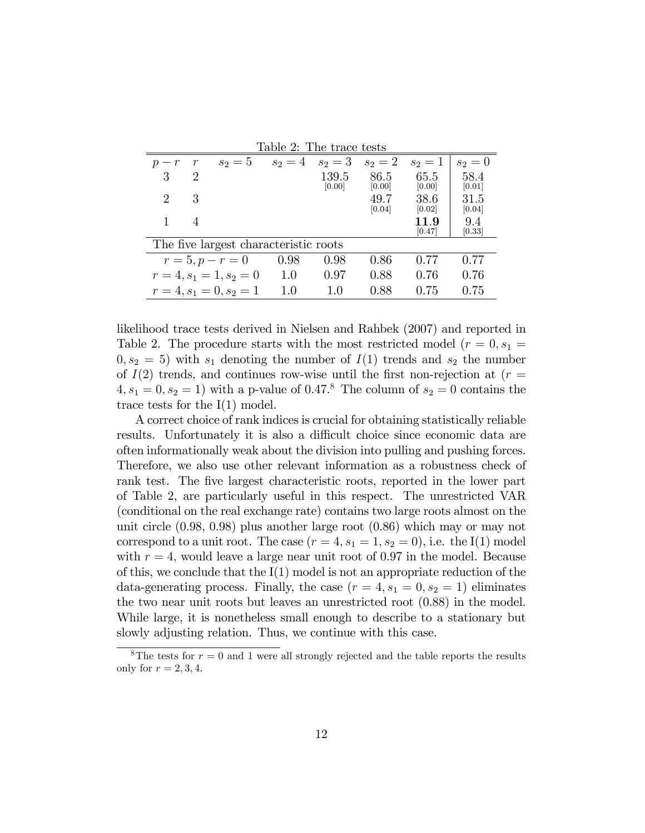| Table 2: The trace tests              |                             |                     |           |                 |                |                |                |
|---------------------------------------|-----------------------------|---------------------|-----------|-----------------|----------------|----------------|----------------|
| $p - r$                               | $\mathcal{r}$               | $s_2=5$             | $s_2 = 4$ | $s_2 = 3$       | $s_2 = 2$      | $s_2=1$        | $s_2=0$        |
| 3                                     | $\mathcal{D}_{\mathcal{L}}$ |                     |           | 139.5<br>[0.00] | 86.5<br>[0.00] | 65.5<br>[0.00] | 58.4<br>[0.01] |
| 2                                     | 3                           |                     |           |                 | 49.7<br>[0.04] | 38.6<br>[0.02] | 31.5<br>[0.04] |
|                                       | $\overline{4}$              |                     |           |                 |                | 119<br> 0.47   | 9.4<br>[0.33]  |
| The five largest characteristic roots |                             |                     |           |                 |                |                |                |
|                                       |                             | $r = 5, p - r = 0$  | 0.98      | 0.98            | 0.86           | 0.77           | 0.77           |
|                                       |                             | $r=4, s_1=1, s_2=0$ | 1.0       | 0.97            | 0.88           | 0.76           | 0.76           |
| $r=4, s_1=0, s_2=1$                   |                             |                     | 10        | 10              | 0.88           | 0.75           | 0.75           |

likelihood trace tests derived in Nielsen and Rahbek (2007) and reported in Table 2. The procedure starts with the most restricted model  $(r = 0, s_1 =$  $(0, s_2 = 5)$  with  $s_1$  denoting the number of  $I(1)$  trends and  $s_2$  the number of  $I(2)$  trends, and continues row-wise until the first non-rejection at ( $r =$  $4, s_1 = 0, s_2 = 1$  with a p-value of 0.47.<sup>8</sup> The column of  $s_2 = 0$  contains the trace tests for the  $I(1)$  model.

A correct choice of rank indices is crucial for obtaining statistically reliable results. Unfortunately it is also a difficult choice since economic data are often informationally weak about the division into pulling and pushing forces. Therefore, we also use other relevant information as a robustness check of rank test. The five largest characteristic roots, reported in the lower part of Table 2, are particularly useful in this respect. The unrestricted VAR (conditional on the real exchange rate) contains two large roots almost on the unit circle (0.98, 0.98) plus another large root (0.86) which may or may not correspond to a unit root. The case  $(r = 4, s_1 = 1, s_2 = 0)$ , i.e. the I(1) model with  $r = 4$ , would leave a large near unit root of 0.97 in the model. Because of this, we conclude that the  $I(1)$  model is not an appropriate reduction of the data-generating process. Finally, the case  $(r = 4, s_1 = 0, s_2 = 1)$  eliminates the two near unit roots but leaves an unrestricted root (0.88) in the model. While large, it is nonetheless small enough to describe to a stationary but slowly adjusting relation. Thus, we continue with this case.

<sup>&</sup>lt;sup>8</sup>The tests for  $r = 0$  and 1 were all strongly rejected and the table reports the results only for  $r = 2, 3, 4$ .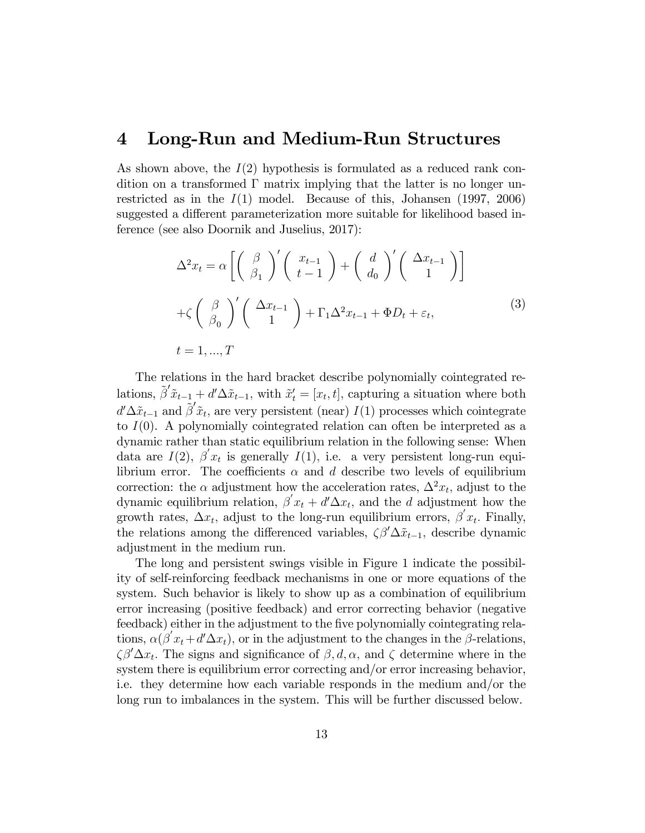#### 4 Long-Run and Medium-Run Structures

As shown above, the  $I(2)$  hypothesis is formulated as a reduced rank condition on a transformed  $\Gamma$  matrix implying that the latter is no longer unrestricted as in the  $I(1)$  model. Because of this, Johansen (1997, 2006) suggested a different parameterization more suitable for likelihood based inference (see also Doornik and Juselius, 2017):

$$
\Delta^2 x_t = \alpha \left[ \left( \begin{array}{c} \beta \\ \beta_1 \end{array} \right)' \left( \begin{array}{c} x_{t-1} \\ t-1 \end{array} \right) + \left( \begin{array}{c} d \\ d_0 \end{array} \right)' \left( \begin{array}{c} \Delta x_{t-1} \\ 1 \end{array} \right) \right]
$$
  
+ $\zeta \left( \begin{array}{c} \beta \\ \beta_0 \end{array} \right)' \left( \begin{array}{c} \Delta x_{t-1} \\ 1 \end{array} \right) + \Gamma_1 \Delta^2 x_{t-1} + \Phi D_t + \varepsilon_t,$  (3)  
 $t = 1, ..., T$ 

The relations in the hard bracket describe polynomially cointegrated relations,  $\tilde{\beta}' \tilde{x}_{t-1} + d' \Delta \tilde{x}_{t-1}$ , with  $\tilde{x}'_t = [x_t, t]$ , capturing a situation where both  $d' \Delta \tilde{x}_{t-1}$  and  $\tilde{\beta}' \tilde{x}_t$ , are very persistent (near)  $I(1)$  processes which cointegrate to  $I(0)$ . A polynomially cointegrated relation can often be interpreted as a dynamic rather than static equilibrium relation in the following sense: When data are  $I(2)$ ,  $\beta' x_t$  is generally  $I(1)$ , i.e. a very persistent long-run equilibrium error. The coefficients  $\alpha$  and d describe two levels of equilibrium correction: the  $\alpha$  adjustment how the acceleration rates,  $\Delta^2 x_t$ , adjust to the dynamic equilibrium relation,  $\beta' x_t + d' \Delta x_t$ , and the d adjustment how the growth rates,  $\Delta x_t$ , adjust to the long-run equilibrium errors,  $\beta' x_t$ . Finally, the relations among the differenced variables,  $\zeta \beta' \Delta \tilde{x}_{t-1}$ , describe dynamic adjustment in the medium run.

The long and persistent swings visible in Figure 1 indicate the possibility of self-reinforcing feedback mechanisms in one or more equations of the system. Such behavior is likely to show up as a combination of equilibrium error increasing (positive feedback) and error correcting behavior (negative feedback) either in the adjustment to the five polynomially cointegrating relations,  $\alpha(\beta' x_t + d' \Delta x_t)$ , or in the adjustment to the changes in the  $\beta$ -relations,  $\zeta \beta' \Delta x_t$ . The signs and significance of  $\beta, d, \alpha$ , and  $\zeta$  determine where in the system there is equilibrium error correcting and/or error increasing behavior, i.e. they determine how each variable responds in the medium and/or the long run to imbalances in the system. This will be further discussed below.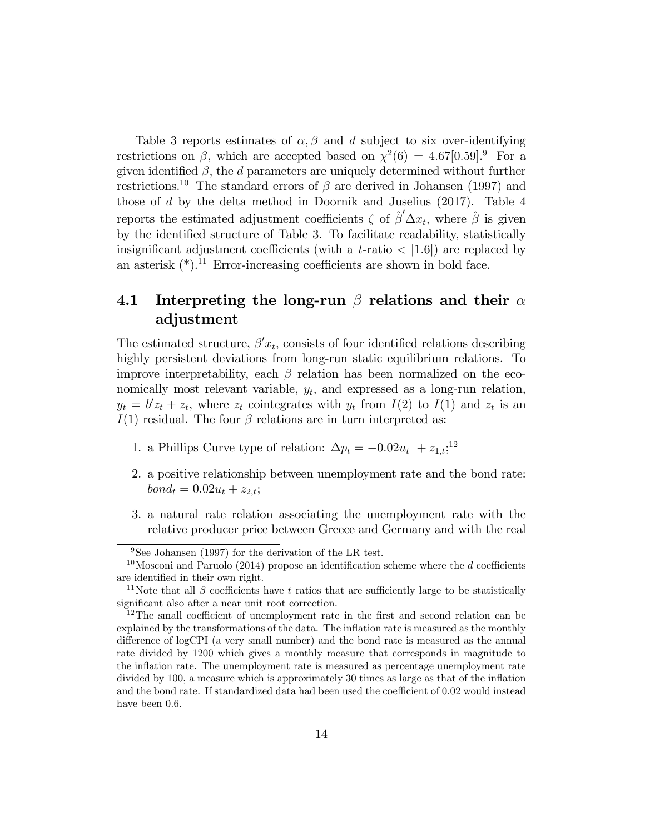Table 3 reports estimates of  $\alpha$ ,  $\beta$  and d subject to six over-identifying restrictions on  $\beta$ , which are accepted based on  $\chi^2(6) = 4.67[0.59].$ <sup>9</sup> For a given identified  $\beta$ , the *d* parameters are uniquely determined without further restrictions.<sup>10</sup> The standard errors of  $\beta$  are derived in Johansen (1997) and those of d by the delta method in Doornik and Juselius (2017). Table 4 reports the estimated adjustment coefficients  $\zeta$  of  $\hat{\beta}' \Delta x_t$ , where  $\hat{\beta}$  is given by the identified structure of Table 3. To facilitate readability, statistically insignificant adjustment coefficients (with a t-ratio  $\langle 1.6|$ ) are replaced by an asterisk  $(*)$ .<sup>11</sup> Error-increasing coefficients are shown in bold face.

#### 4.1 Interpreting the long-run  $\beta$  relations and their  $\alpha$ adjustment

The estimated structure,  $\beta' x_t$ , consists of four identified relations describing highly persistent deviations from long-run static equilibrium relations. To improve interpretability, each  $\beta$  relation has been normalized on the economically most relevant variable,  $y_t$ , and expressed as a long-run relation,  $y_t = b'z_t + z_t$ , where  $z_t$  cointegrates with  $y_t$  from  $I(2)$  to  $I(1)$  and  $z_t$  is an  $I(1)$  residual. The four  $\beta$  relations are in turn interpreted as:

- 1. a Phillips Curve type of relation:  $\Delta p_t = -0.02u_t + z_{1,t};$ <sup>12</sup>
- 2. a positive relationship between unemployment rate and the bond rate:  $bond<sub>t</sub> = 0.02u<sub>t</sub> + z<sub>2,t</sub>;$
- 3. a natural rate relation associating the unemployment rate with the relative producer price between Greece and Germany and with the real

<sup>&</sup>lt;sup>9</sup>See Johansen (1997) for the derivation of the LR test.

<sup>&</sup>lt;sup>10</sup>Mosconi and Paruolo (2014) propose an identification scheme where the d coefficients are identified in their own right.

<sup>&</sup>lt;sup>11</sup>Note that all  $\beta$  coefficients have t ratios that are sufficiently large to be statistically significant also after a near unit root correction.

 $12$ The small coefficient of unemployment rate in the first and second relation can be explained by the transformations of the data. The inflation rate is measured as the monthly difference of logCPI (a very small number) and the bond rate is measured as the annual rate divided by 1200 which gives a monthly measure that corresponds in magnitude to the ináation rate. The unemployment rate is measured as percentage unemployment rate divided by  $100$ , a measure which is approximately  $30$  times as large as that of the inflation and the bond rate. If standardized data had been used the coefficient of 0.02 would instead have been 0.6.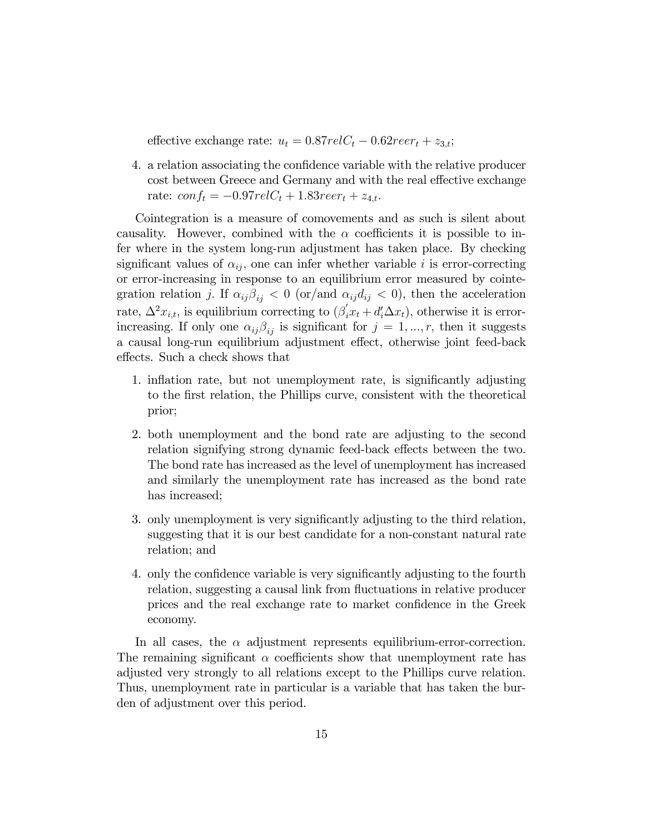effective exchange rate:  $u_t = 0.87 \text{ rel } C_t - 0.62 \text{ re } \text{er}_t + z_{3,t};$ 

4. a relation associating the confidence variable with the relative producer cost between Greece and Germany and with the real effective exchange rate:  $conf_t = -0.97relC_t + 1.83reer_t + z_{4,t}.$ 

Cointegration is a measure of comovements and as such is silent about causality. However, combined with the  $\alpha$  coefficients it is possible to infer where in the system long-run adjustment has taken place. By checking significant values of  $\alpha_{ij}$ , one can infer whether variable i is error-correcting or error-increasing in response to an equilibrium error measured by cointegration relation j. If  $\alpha_{ij}\beta_{ij} < 0$  (or/and  $\alpha_{ij}d_{ij} < 0$ ), then the acceleration rate,  $\Delta^2 x_{i,t}$ , is equilibrium correcting to  $(\beta'_i x_t + d'_i \Delta x_t)$ , otherwise it is errorincreasing. If only one  $\alpha_{ij}\beta_{ij}$  is significant for  $j = 1, ..., r$ , then it suggests a causal long-run equilibrium adjustment effect, otherwise joint feed-back effects. Such a check shows that

- 1. inflation rate, but not unemployment rate, is significantly adjusting to the Örst relation, the Phillips curve, consistent with the theoretical prior;
- 2. both unemployment and the bond rate are adjusting to the second relation signifying strong dynamic feed-back effects between the two. The bond rate has increased as the level of unemployment has increased and similarly the unemployment rate has increased as the bond rate has increased;
- 3. only unemployment is very significantly adjusting to the third relation, suggesting that it is our best candidate for a non-constant natural rate relation; and
- 4. only the confidence variable is very significantly adjusting to the fourth relation, suggesting a causal link from fluctuations in relative producer prices and the real exchange rate to market confidence in the Greek economy.

In all cases, the  $\alpha$  adjustment represents equilibrium-error-correction. The remaining significant  $\alpha$  coefficients show that unemployment rate has adjusted very strongly to all relations except to the Phillips curve relation. Thus, unemployment rate in particular is a variable that has taken the burden of adjustment over this period.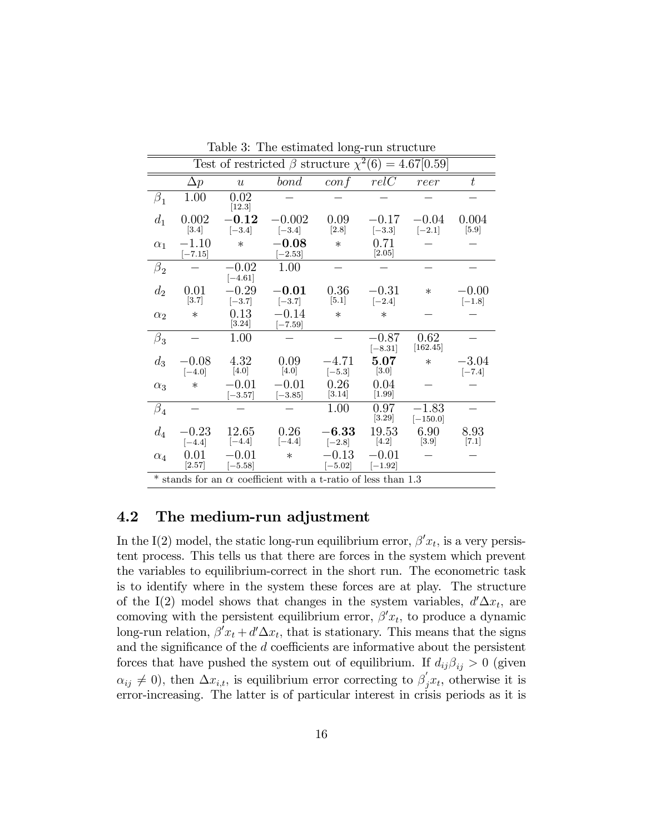| Table 9. The estimated folig-run structure                             |                      |                      |                      |                      |                      |                       |                     |
|------------------------------------------------------------------------|----------------------|----------------------|----------------------|----------------------|----------------------|-----------------------|---------------------|
| Test of restricted $\beta$ structure $\chi^2(6) = 4.67[0.59]$          |                      |                      |                      |                      |                      |                       |                     |
|                                                                        | $\Delta p$           | $\boldsymbol{u}$     | bond                 | $\frac{conf}{f}$     | relC                 | reer                  | $\boldsymbol{t}$    |
| $\beta_1$                                                              | 1.00                 | 0.02<br>[12.3]       |                      |                      |                      |                       |                     |
| $d_1$                                                                  | 0.002<br>[3.4]       | $-0.12$<br>$[-3.4]$  | $-0.002$<br>$[-3.4]$ | 0.09<br>$[2.8]$      | $-0.17$<br>$[-3.3]$  | $-0.04$<br>$[-2.1]$   | 0.004<br>$[5.9]$    |
| $\alpha_1$                                                             | $-1.10$<br>$[-7.15]$ | $\ast$               | $-0.08$<br>$[-2.53]$ | $\ast$               | 0.71<br>$[2.05]$     |                       |                     |
| $\beta_2$                                                              |                      | $-0.02$<br>$[-4.61]$ | 1.00                 |                      |                      |                       |                     |
| $d_2$                                                                  | 0.01<br>[3.7]        | $-0.29$<br>$[-3.7]$  | $-0.01$<br>$[-3.7]$  | 0.36<br>[5.1]        | $-0.31$<br>$[-2.4]$  | $\ast$                | $-0.00$<br>$[-1.8]$ |
| $\alpha_2$                                                             | $\ast$               | 0.13<br>[3.24]       | $-0.14$<br>$[-7.59]$ | $\ast$               | $\ast$               |                       |                     |
| $\beta_3$                                                              |                      | 1.00                 |                      |                      | $-0.87$<br>$[-8.31]$ | 0.62<br>[162.45]      |                     |
| $d_3$                                                                  | $-0.08$<br>$[-4.0]$  | 4.32<br>[4.0]        | 0.09<br>[4.0]        | $-4.71$<br>$[-5.3]$  | 5.07<br>[3.0]        | $\ast$                | $-3.04$<br>$[-7.4]$ |
| $\alpha_3$                                                             | $\ast$               | $-0.01$<br>$[-3.57]$ | $-0.01$<br>$[-3.85]$ | 0.26<br>[3.14]       | 0.04<br>$[1.99]$     |                       |                     |
| $\beta_4$                                                              |                      |                      |                      | 1.00                 | 0.97<br>[3.29]       | $-1.83$<br>$[-150.0]$ |                     |
| $d_4$                                                                  | $-0.23$<br>$[-4.4]$  | 12.65<br>$[-4.4]$    | 0.26<br>$[-4.4]$     | $-6.33$<br>$[-2.8]$  | 19.53<br>$[4.2]$     | 6.90<br>$[3.9]$       | 8.93<br>[7.1]       |
| $\alpha_4$                                                             | 0.01<br>[2.57]       | $-0.01$<br>$[-5.58]$ | $\ast$               | $-0.13$<br>$[-5.02]$ | $-0.01$<br>$[-1.92]$ |                       |                     |
| $*$ stands for an $\alpha$ coefficient with a t-ratio of less than 1.3 |                      |                      |                      |                      |                      |                       |                     |

Table 3: The estimated long-run structure

#### 4.2 The medium-run adjustment

In the I(2) model, the static long-run equilibrium error,  $\beta' x_t$ , is a very persistent process. This tells us that there are forces in the system which prevent the variables to equilibrium-correct in the short run. The econometric task is to identify where in the system these forces are at play. The structure of the I(2) model shows that changes in the system variables,  $d' \Delta x_t$ , are comoving with the persistent equilibrium error,  $\beta' x_t$ , to produce a dynamic long-run relation,  $\beta' x_t + d' \Delta x_t$ , that is stationary. This means that the signs and the significance of the  $d$  coefficients are informative about the persistent forces that have pushed the system out of equilibrium. If  $d_{ij}\beta_{ij} > 0$  (given  $\alpha_{ij} \neq 0$ , then  $\Delta x_{i,t}$ , is equilibrium error correcting to  $\beta_j x_t$ , otherwise it is error-increasing. The latter is of particular interest in crisis periods as it is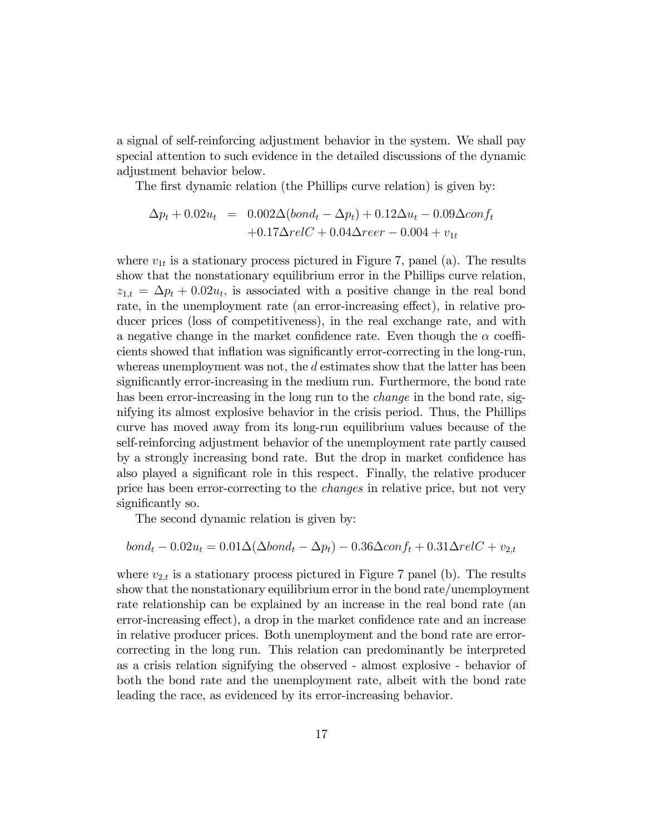a signal of self-reinforcing adjustment behavior in the system. We shall pay special attention to such evidence in the detailed discussions of the dynamic adjustment behavior below.

The first dynamic relation (the Phillips curve relation) is given by:

$$
\Delta p_t + 0.02u_t = 0.002\Delta(bond_t - \Delta p_t) + 0.12\Delta u_t - 0.09\Delta conf_t + 0.17\Delta relC + 0.04\Delta reer - 0.004 + v_{1t}
$$

where  $v_{1t}$  is a stationary process pictured in Figure 7, panel (a). The results show that the nonstationary equilibrium error in the Phillips curve relation,  $z_{1,t} = \Delta p_t + 0.02u_t$ , is associated with a positive change in the real bond rate, in the unemployment rate (an error-increasing effect), in relative producer prices (loss of competitiveness), in the real exchange rate, and with a negative change in the market confidence rate. Even though the  $\alpha$  coefficients showed that inflation was significantly error-correcting in the long-run, whereas unemployment was not, the  $d$  estimates show that the latter has been significantly error-increasing in the medium run. Furthermore, the bond rate has been error-increasing in the long run to the *change* in the bond rate, signifying its almost explosive behavior in the crisis period. Thus, the Phillips curve has moved away from its long-run equilibrium values because of the self-reinforcing adjustment behavior of the unemployment rate partly caused by a strongly increasing bond rate. But the drop in market confidence has also played a significant role in this respect. Finally, the relative producer price has been error-correcting to the changes in relative price, but not very significantly so.

The second dynamic relation is given by:

$$
bondt - 0.02ut = 0.01\Delta(\Delta bondt - \Delta pt) - 0.36\Delta conft + 0.31\Delta relC + v2,t
$$

where  $v_{2,t}$  is a stationary process pictured in Figure 7 panel (b). The results show that the nonstationary equilibrium error in the bond rate/unemployment rate relationship can be explained by an increase in the real bond rate (an error-increasing effect), a drop in the market confidence rate and an increase in relative producer prices. Both unemployment and the bond rate are errorcorrecting in the long run. This relation can predominantly be interpreted as a crisis relation signifying the observed - almost explosive - behavior of both the bond rate and the unemployment rate, albeit with the bond rate leading the race, as evidenced by its error-increasing behavior.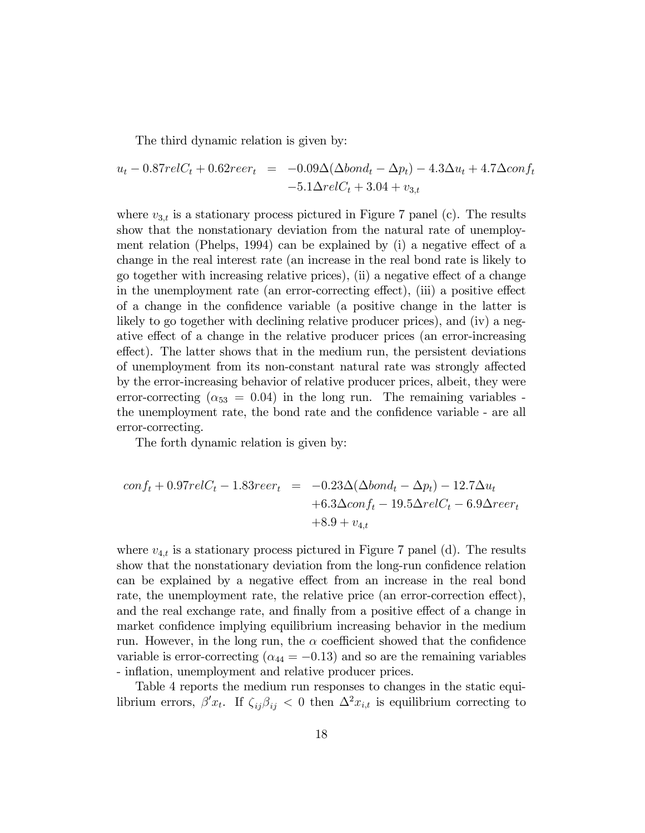The third dynamic relation is given by:

$$
u_t - 0.87relC_t + 0.62reer_t = -0.09\Delta(\Delta bond_t - \Delta p_t) - 4.3\Delta u_t + 4.7\Delta conf_t -5.1\Delta relC_t + 3.04 + v_{3,t}
$$

where  $v_{3,t}$  is a stationary process pictured in Figure 7 panel (c). The results show that the nonstationary deviation from the natural rate of unemployment relation (Phelps, 1994) can be explained by  $(i)$  a negative effect of a change in the real interest rate (an increase in the real bond rate is likely to go together with increasing relative prices), (ii) a negative effect of a change in the unemployment rate (an error-correcting effect), (iii) a positive effect of a change in the confidence variable (a positive change in the latter is likely to go together with declining relative producer prices), and (iv) a negative effect of a change in the relative producer prices (an error-increasing effect). The latter shows that in the medium run, the persistent deviations of unemployment from its non-constant natural rate was strongly affected by the error-increasing behavior of relative producer prices, albeit, they were error-correcting  $(\alpha_{53} = 0.04)$  in the long run. The remaining variables the unemployment rate, the bond rate and the confidence variable - are all error-correcting.

The forth dynamic relation is given by:

$$
conf_{t} + 0.97relC_{t} - 1.83reer_{t} = -0.23\Delta(\Delta bond_{t} - \Delta p_{t}) - 12.7\Delta u_{t}
$$

$$
+ 6.3\Delta conf_{t} - 19.5\Delta relC_{t} - 6.9\Delta reer_{t}
$$

$$
+ 8.9 + v_{4,t}
$$

where  $v_{4,t}$  is a stationary process pictured in Figure 7 panel (d). The results show that the nonstationary deviation from the long-run confidence relation can be explained by a negative effect from an increase in the real bond rate, the unemployment rate, the relative price (an error-correction effect), and the real exchange rate, and finally from a positive effect of a change in market confidence implying equilibrium increasing behavior in the medium run. However, in the long run, the  $\alpha$  coefficient showed that the confidence variable is error-correcting ( $\alpha_{44} = -0.13$ ) and so are the remaining variables - inflation, unemployment and relative producer prices.

Table 4 reports the medium run responses to changes in the static equilibrium errors,  $\beta' x_t$ . If  $\zeta_{ij} \beta_{ij} < 0$  then  $\Delta^2 x_{i,t}$  is equilibrium correcting to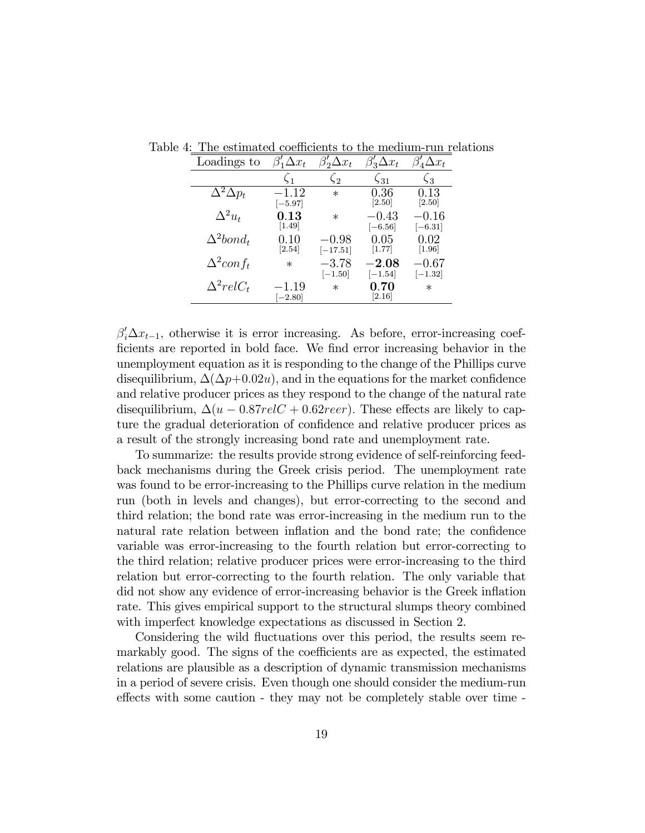| Loadings to                      | $\Delta x_t$                      | $\Delta x_t$            | $\beta'_3 \Delta x_t$                  | $T_4\Delta x_t$                 |
|----------------------------------|-----------------------------------|-------------------------|----------------------------------------|---------------------------------|
|                                  | $\zeta_1$                         | $\sqrt{2}$              | $\zeta_{31}$                           | $\zeta_3$                       |
| $\overline{\Delta^2 \Delta p_t}$ | $-1.12\,$<br>$[-5.97]$            | $^\ast$                 | 0.36<br>[2.50]                         | 0.13<br>[2.50]                  |
| $\Delta^2 u_t$                   | $\rm 0.13$<br>$\left[1.49\right]$ | $\ast$                  | $-0.43\,$<br>$[-6.56]$                 | $-0.16$<br>$\left[-6.31\right]$ |
| $\Delta^2 bond_t$                | 0.10<br>$\left[ 2.54\right]$      | $-0.98\,$<br>$[-17.51]$ | 0.05<br>$\left\lceil 1.77\right\rceil$ | 0.02<br>[1.96]                  |
| $\Delta^2$ conf <sub>t</sub>     | $\ast$                            | $-3.78$<br>$[-1.50]$    | $-2.08$<br>$[-1.54]$                   | $-0.67\,$<br>$[-1.32]$          |
| $\Delta^2 relC_t$                | $-1.19\,$<br>$[-2.80]$            | $\ast$                  | 0.70<br>[2.16]                         | $\ast$                          |

Table 4: The estimated coefficients to the medium-run relations

 $\beta_i' \Delta x_{t-1}$ , otherwise it is error increasing. As before, error-increasing coefficients are reported in bold face. We find error increasing behavior in the unemployment equation as it is responding to the change of the Phillips curve disequilibrium,  $\Delta(\Delta p+0.02u)$ , and in the equations for the market confidence and relative producer prices as they respond to the change of the natural rate disequilibrium,  $\Delta(u - 0.87relC + 0.62reer)$ . These effects are likely to capture the gradual deterioration of confidence and relative producer prices as a result of the strongly increasing bond rate and unemployment rate.

To summarize: the results provide strong evidence of self-reinforcing feedback mechanisms during the Greek crisis period. The unemployment rate was found to be error-increasing to the Phillips curve relation in the medium run (both in levels and changes), but error-correcting to the second and third relation; the bond rate was error-increasing in the medium run to the natural rate relation between inflation and the bond rate; the confidence variable was error-increasing to the fourth relation but error-correcting to the third relation; relative producer prices were error-increasing to the third relation but error-correcting to the fourth relation. The only variable that did not show any evidence of error-increasing behavior is the Greek inflation rate. This gives empirical support to the structural slumps theory combined with imperfect knowledge expectations as discussed in Section 2.

Considering the wild fluctuations over this period, the results seem remarkably good. The signs of the coefficients are as expected, the estimated relations are plausible as a description of dynamic transmission mechanisms in a period of severe crisis. Even though one should consider the medium-run effects with some caution - they may not be completely stable over time -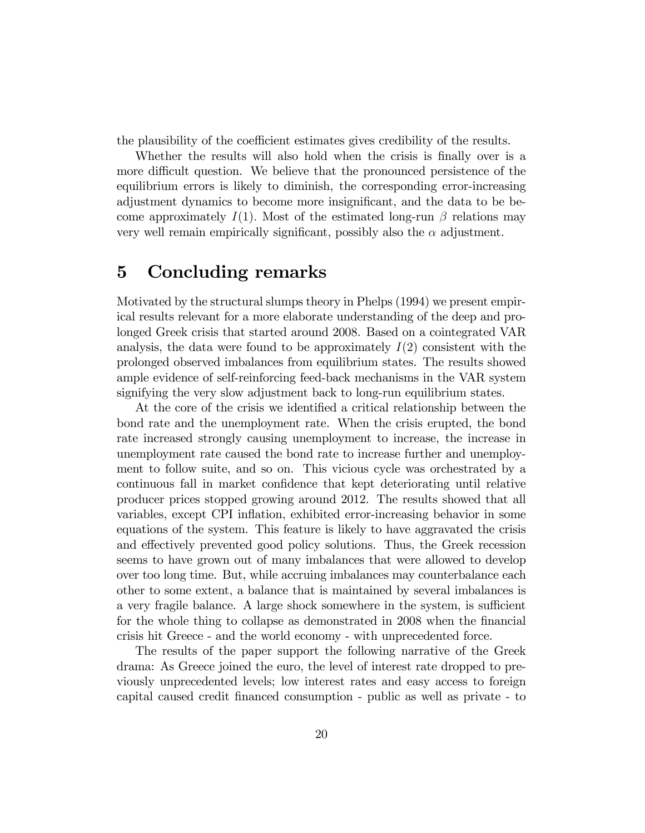the plausibility of the coefficient estimates gives credibility of the results.

Whether the results will also hold when the crisis is finally over is a more difficult question. We believe that the pronounced persistence of the equilibrium errors is likely to diminish, the corresponding error-increasing adjustment dynamics to become more insignificant, and the data to be become approximately  $I(1)$ . Most of the estimated long-run  $\beta$  relations may very well remain empirically significant, possibly also the  $\alpha$  adjustment.

#### 5 Concluding remarks

Motivated by the structural slumps theory in Phelps (1994) we present empirical results relevant for a more elaborate understanding of the deep and prolonged Greek crisis that started around 2008. Based on a cointegrated VAR analysis, the data were found to be approximately  $I(2)$  consistent with the prolonged observed imbalances from equilibrium states. The results showed ample evidence of self-reinforcing feed-back mechanisms in the VAR system signifying the very slow adjustment back to long-run equilibrium states.

At the core of the crisis we identified a critical relationship between the bond rate and the unemployment rate. When the crisis erupted, the bond rate increased strongly causing unemployment to increase, the increase in unemployment rate caused the bond rate to increase further and unemployment to follow suite, and so on. This vicious cycle was orchestrated by a continuous fall in market confidence that kept deteriorating until relative producer prices stopped growing around 2012. The results showed that all variables, except CPI inflation, exhibited error-increasing behavior in some equations of the system. This feature is likely to have aggravated the crisis and effectively prevented good policy solutions. Thus, the Greek recession seems to have grown out of many imbalances that were allowed to develop over too long time. But, while accruing imbalances may counterbalance each other to some extent, a balance that is maintained by several imbalances is a very fragile balance. A large shock somewhere in the system, is sufficient for the whole thing to collapse as demonstrated in 2008 when the financial crisis hit Greece - and the world economy - with unprecedented force.

The results of the paper support the following narrative of the Greek drama: As Greece joined the euro, the level of interest rate dropped to previously unprecedented levels; low interest rates and easy access to foreign capital caused credit Önanced consumption - public as well as private - to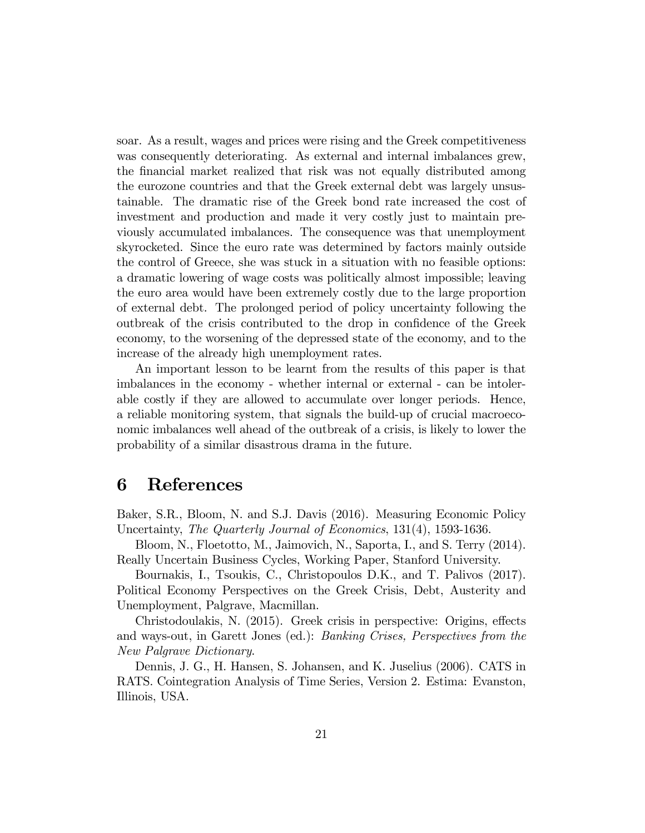soar. As a result, wages and prices were rising and the Greek competitiveness was consequently deteriorating. As external and internal imbalances grew, the Önancial market realized that risk was not equally distributed among the eurozone countries and that the Greek external debt was largely unsustainable. The dramatic rise of the Greek bond rate increased the cost of investment and production and made it very costly just to maintain previously accumulated imbalances. The consequence was that unemployment skyrocketed. Since the euro rate was determined by factors mainly outside the control of Greece, she was stuck in a situation with no feasible options: a dramatic lowering of wage costs was politically almost impossible; leaving the euro area would have been extremely costly due to the large proportion of external debt. The prolonged period of policy uncertainty following the outbreak of the crisis contributed to the drop in confidence of the Greek economy, to the worsening of the depressed state of the economy, and to the increase of the already high unemployment rates.

An important lesson to be learnt from the results of this paper is that imbalances in the economy - whether internal or external - can be intolerable costly if they are allowed to accumulate over longer periods. Hence, a reliable monitoring system, that signals the build-up of crucial macroeconomic imbalances well ahead of the outbreak of a crisis, is likely to lower the probability of a similar disastrous drama in the future.

#### 6 References

Baker, S.R., Bloom, N. and S.J. Davis (2016). Measuring Economic Policy Uncertainty, The Quarterly Journal of Economics, 131(4), 1593-1636.

Bloom, N., Floetotto, M., Jaimovich, N., Saporta, I., and S. Terry (2014). Really Uncertain Business Cycles, Working Paper, Stanford University.

Bournakis, I., Tsoukis, C., Christopoulos D.K., and T. Palivos (2017). Political Economy Perspectives on the Greek Crisis, Debt, Austerity and Unemployment, Palgrave, Macmillan.

Christodoulakis, N. (2015). Greek crisis in perspective: Origins, effects and ways-out, in Garett Jones (ed.): Banking Crises, Perspectives from the New Palgrave Dictionary.

Dennis, J. G., H. Hansen, S. Johansen, and K. Juselius (2006). CATS in RATS. Cointegration Analysis of Time Series, Version 2. Estima: Evanston, Illinois, USA.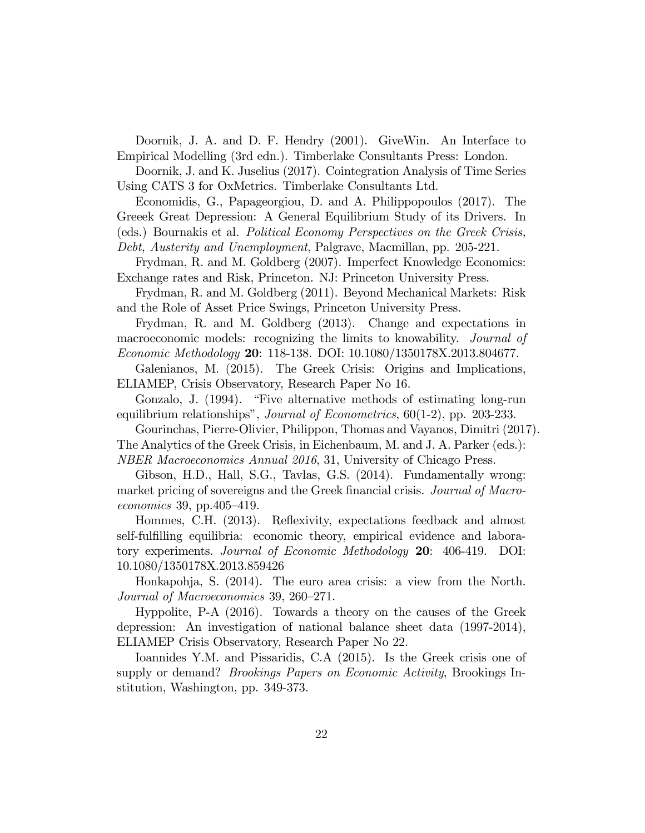Doornik, J. A. and D. F. Hendry (2001). GiveWin. An Interface to Empirical Modelling (3rd edn.). Timberlake Consultants Press: London.

Doornik, J. and K. Juselius (2017). Cointegration Analysis of Time Series Using CATS 3 for OxMetrics. Timberlake Consultants Ltd.

Economidis, G., Papageorgiou, D. and A. Philippopoulos (2017). The Greeek Great Depression: A General Equilibrium Study of its Drivers. In (eds.) Bournakis et al. Political Economy Perspectives on the Greek Crisis,

Debt, Austerity and Unemployment, Palgrave, Macmillan, pp. 205-221.

Frydman, R. and M. Goldberg (2007). Imperfect Knowledge Economics: Exchange rates and Risk, Princeton. NJ: Princeton University Press.

Frydman, R. and M. Goldberg (2011). Beyond Mechanical Markets: Risk and the Role of Asset Price Swings, Princeton University Press.

Frydman, R. and M. Goldberg (2013). Change and expectations in macroeconomic models: recognizing the limits to knowability. Journal of Economic Methodology 20: 118-138. DOI: 10.1080/1350178X.2013.804677.

Galenianos, M. (2015). The Greek Crisis: Origins and Implications, ELIAMEP, Crisis Observatory, Research Paper No 16.

Gonzalo, J. (1994). "Five alternative methods of estimating long-run equilibrium relationships", Journal of Econometrics, 60(1-2), pp. 203-233.

Gourinchas, Pierre-Olivier, Philippon, Thomas and Vayanos, Dimitri (2017). The Analytics of the Greek Crisis, in Eichenbaum, M. and J. A. Parker (eds.): NBER Macroeconomics Annual 2016, 31, University of Chicago Press.

Gibson, H.D., Hall, S.G., Tavlas, G.S. (2014). Fundamentally wrong: market pricing of sovereigns and the Greek financial crisis. Journal of Macro $economics 39, pp.405–419.$ 

Hommes, C.H. (2013). Reflexivity, expectations feedback and almost self-fulfilling equilibria: economic theory, empirical evidence and laboratory experiments. Journal of Economic Methodology 20: 406-419. DOI: 10.1080/1350178X.2013.859426

Honkapohja, S. (2014). The euro area crisis: a view from the North. Journal of Macroeconomics 39, 260–271.

Hyppolite, P-A (2016). Towards a theory on the causes of the Greek depression: An investigation of national balance sheet data (1997-2014), ELIAMEP Crisis Observatory, Research Paper No 22.

Ioannides Y.M. and Pissaridis, C.A (2015). Is the Greek crisis one of supply or demand? *Brookings Papers on Economic Activity*, Brookings Institution, Washington, pp. 349-373.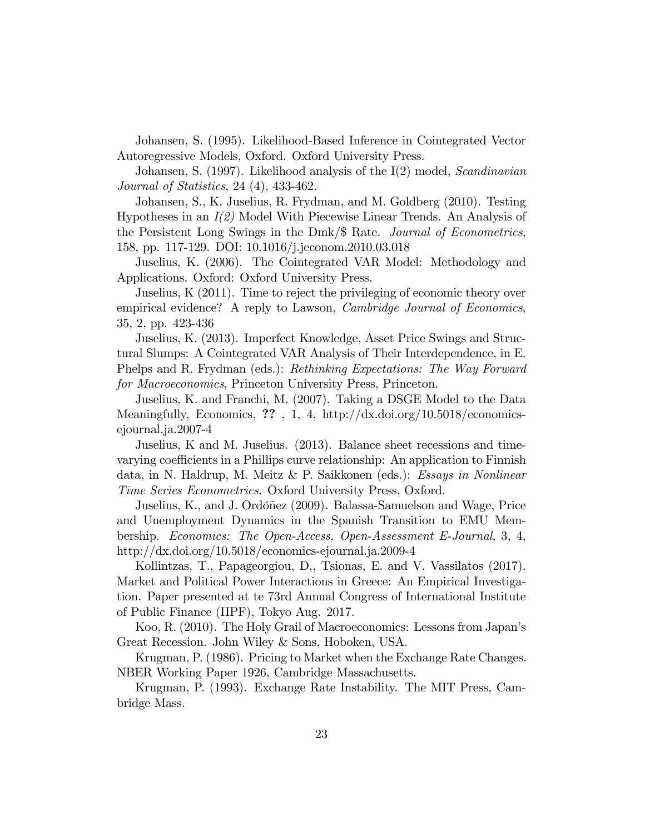Johansen, S. (1995). Likelihood-Based Inference in Cointegrated Vector Autoregressive Models, Oxford. Oxford University Press.

Johansen, S. (1997). Likelihood analysis of the I(2) model, Scandinavian Journal of Statistics, 24 (4), 433-462.

Johansen, S., K. Juselius, R. Frydman, and M. Goldberg (2010). Testing Hypotheses in an  $I(2)$  Model With Piecewise Linear Trends. An Analysis of the Persistent Long Swings in the Dmk/\$ Rate. Journal of Econometrics, 158, pp. 117-129. DOI: 10.1016/j.jeconom.2010.03.018

Juselius, K. (2006). The Cointegrated VAR Model: Methodology and Applications. Oxford: Oxford University Press.

Juselius, K (2011). Time to reject the privileging of economic theory over empirical evidence? A reply to Lawson, *Cambridge Journal of Economics*, 35, 2, pp. 423-436

Juselius, K. (2013). Imperfect Knowledge, Asset Price Swings and Structural Slumps: A Cointegrated VAR Analysis of Their Interdependence, in E. Phelps and R. Frydman (eds.): Rethinking Expectations: The Way Forward for Macroeconomics, Princeton University Press, Princeton.

Juselius, K. and Franchi, M. (2007). Taking a DSGE Model to the Data Meaningfully, Economics, ?? , 1, 4, http://dx.doi.org/10.5018/economicsejournal.ja.2007-4

Juselius, K and M. Juselius. (2013). Balance sheet recessions and timevarying coefficients in a Phillips curve relationship: An application to Finnish data, in N. Haldrup, M. Meitz & P. Saikkonen (eds.): Essays in Nonlinear Time Series Econometrics. Oxford University Press, Oxford.

Juselius, K., and J. Ordóñez (2009). Balassa-Samuelson and Wage, Price and Unemployment Dynamics in the Spanish Transition to EMU Membership. Economics: The Open-Access, Open-Assessment E-Journal, 3, 4, http://dx.doi.org/10.5018/economics-ejournal.ja.2009-4

Kollintzas, T., Papageorgiou, D., Tsionas, E. and V. Vassilatos (2017). Market and Political Power Interactions in Greece: An Empirical Investigation. Paper presented at te 73rd Annual Congress of International Institute of Public Finance (IIPF), Tokyo Aug. 2017.

Koo, R. (2010). The Holy Grail of Macroeconomics: Lessons from Japanís Great Recession. John Wiley & Sons, Hoboken, USA.

Krugman, P. (1986). Pricing to Market when the Exchange Rate Changes. NBER Working Paper 1926, Cambridge Massachusetts.

Krugman, P. (1993). Exchange Rate Instability. The MIT Press, Cambridge Mass.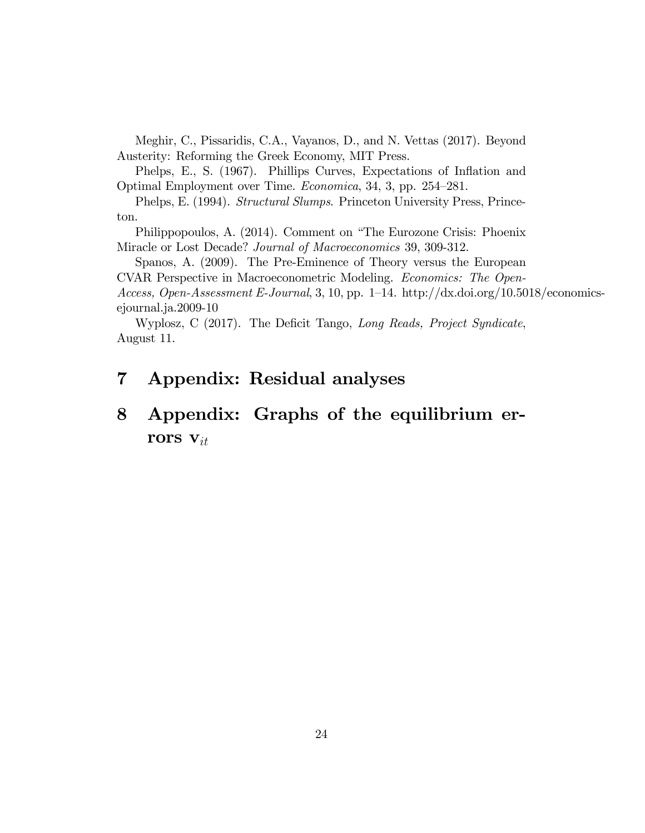Meghir, C., Pissaridis, C.A., Vayanos, D., and N. Vettas (2017). Beyond Austerity: Reforming the Greek Economy, MIT Press.

Phelps, E., S. (1967). Phillips Curves, Expectations of Inflation and Optimal Employment over Time. Economica, 34, 3, pp. 254–281.

Phelps, E. (1994). Structural Slumps. Princeton University Press, Princeton.

Philippopoulos, A. (2014). Comment on "The Eurozone Crisis: Phoenix Miracle or Lost Decade? Journal of Macroeconomics 39, 309-312.

Spanos, A. (2009). The Pre-Eminence of Theory versus the European CVAR Perspective in Macroeconometric Modeling. Economics: The Open-Access, Open-Assessment E-Journal, 3, 10, pp. 1–14. http://dx.doi.org/10.5018/economicsejournal.ja.2009-10

Wyplosz, C (2017). The Deficit Tango, Long Reads, Project Syndicate, August 11.

### 7 Appendix: Residual analyses

## 8 Appendix: Graphs of the equilibrium errors  $v_{it}$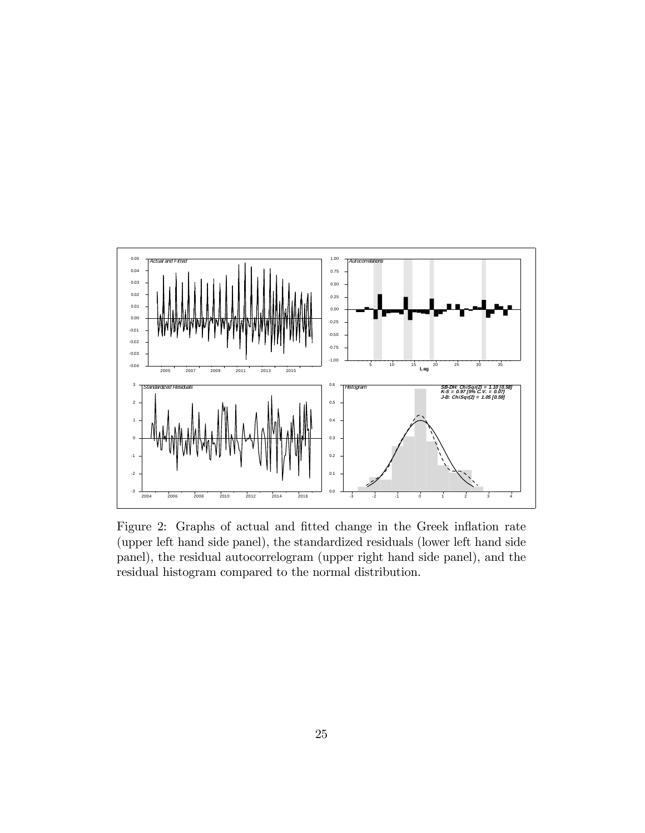

Figure 2: Graphs of actual and fitted change in the Greek inflation rate (upper left hand side panel), the standardized residuals (lower left hand side panel), the residual autocorrelogram (upper right hand side panel), and the residual histogram compared to the normal distribution.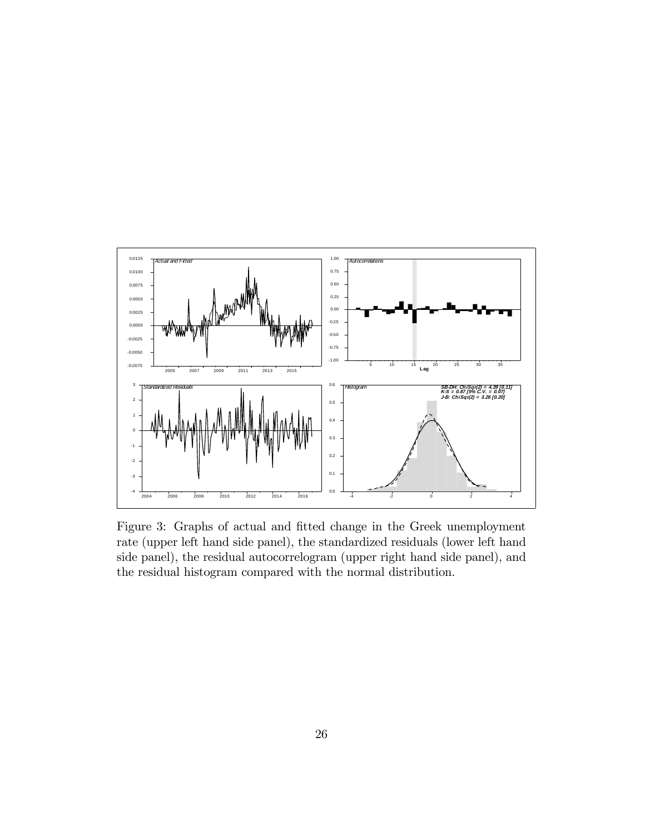

Figure 3: Graphs of actual and fitted change in the Greek unemployment rate (upper left hand side panel), the standardized residuals (lower left hand side panel), the residual autocorrelogram (upper right hand side panel), and the residual histogram compared with the normal distribution.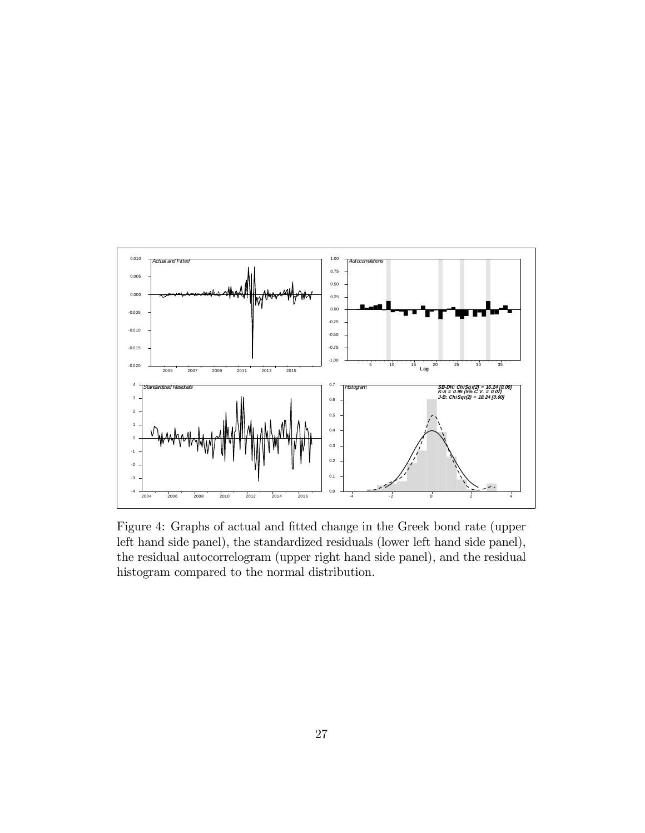

Figure 4: Graphs of actual and fitted change in the Greek bond rate (upper left hand side panel), the standardized residuals (lower left hand side panel), the residual autocorrelogram (upper right hand side panel), and the residual histogram compared to the normal distribution.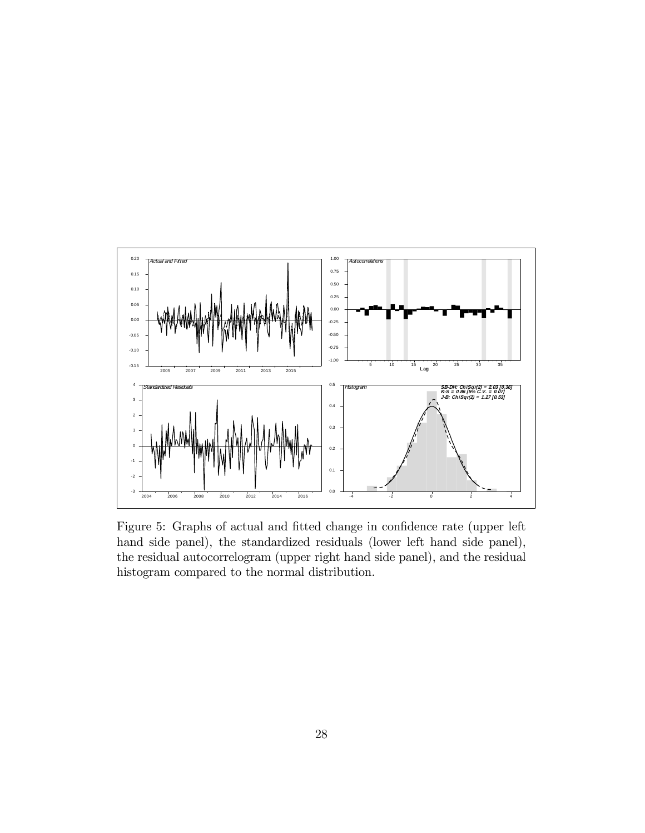

Figure 5: Graphs of actual and fitted change in confidence rate (upper left hand side panel), the standardized residuals (lower left hand side panel), the residual autocorrelogram (upper right hand side panel), and the residual histogram compared to the normal distribution.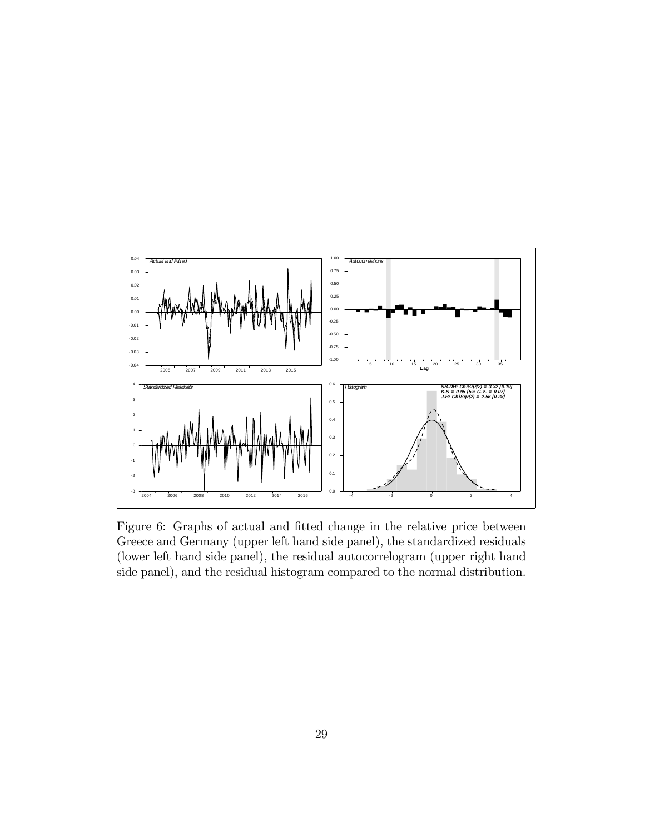

Figure 6: Graphs of actual and fitted change in the relative price between Greece and Germany (upper left hand side panel), the standardized residuals (lower left hand side panel), the residual autocorrelogram (upper right hand side panel), and the residual histogram compared to the normal distribution.